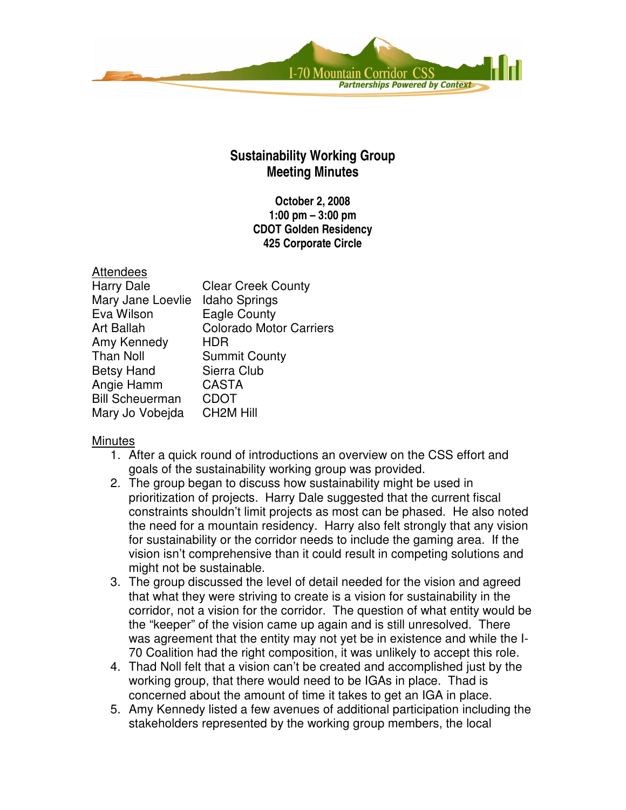

## **Sustainability Working Group Meeting Minutes**

**October 2, 2008 1:00 pm – 3:00 pm CDOT Golden Residency 425 Corporate Circle**

| <b>Attendees</b>       |                                |
|------------------------|--------------------------------|
| <b>Harry Dale</b>      | <b>Clear Creek County</b>      |
| Mary Jane Loevlie      | <b>Idaho Springs</b>           |
| Eva Wilson             | <b>Eagle County</b>            |
| <b>Art Ballah</b>      | <b>Colorado Motor Carriers</b> |
| Amy Kennedy            | HDR                            |
| <b>Than Noll</b>       | <b>Summit County</b>           |
| <b>Betsy Hand</b>      | Sierra Club                    |
| Angie Hamm             | <b>CASTA</b>                   |
| <b>Bill Scheuerman</b> | <b>CDOT</b>                    |
| Mary Jo Vobejda        | <b>CH2M Hill</b>               |

## **Minutes**

- 1. After a quick round of introductions an overview on the CSS effort and goals of the sustainability working group was provided.
- 2. The group began to discuss how sustainability might be used in prioritization of projects. Harry Dale suggested that the current fiscal constraints shouldn't limit projects as most can be phased. He also noted the need for a mountain residency. Harry also felt strongly that any vision for sustainability or the corridor needs to include the gaming area. If the vision isn't comprehensive than it could result in competing solutions and might not be sustainable.
- 3. The group discussed the level of detail needed for the vision and agreed that what they were striving to create is a vision for sustainability in the corridor, not a vision for the corridor. The question of what entity would be the "keeper" of the vision came up again and is still unresolved. There was agreement that the entity may not yet be in existence and while the I-70 Coalition had the right composition, it was unlikely to accept this role.
- 4. Thad Noll felt that a vision can't be created and accomplished just by the working group, that there would need to be IGAs in place. Thad is concerned about the amount of time it takes to get an IGA in place.
- 5. Amy Kennedy listed a few avenues of additional participation including the stakeholders represented by the working group members, the local